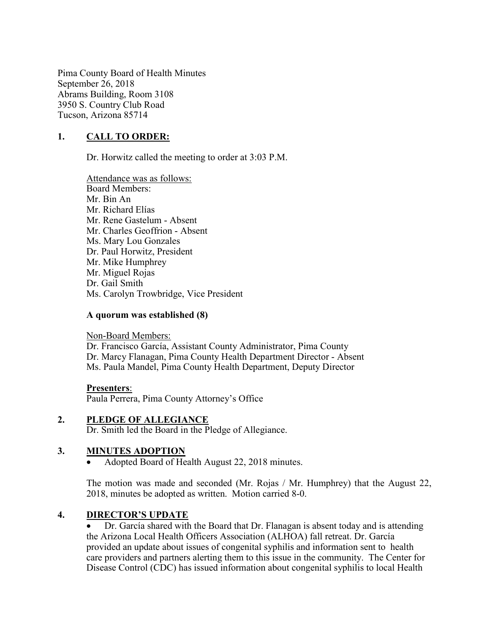Pima County Board of Health Minutes September 26, 2018 Abrams Building, Room 3108 3950 S. Country Club Road Tucson, Arizona 85714

### 1. CALL TO ORDER:

Dr. Horwitz called the meeting to order at 3:03 P.M.

Attendance was as follows: Board Members: Mr. Bin An Mr. Richard Elías Mr. Rene Gastelum - Absent Mr. Charles Geoffrion - Absent Ms. Mary Lou Gonzales Dr. Paul Horwitz, President Mr. Mike Humphrey Mr. Miguel Rojas Dr. Gail Smith Ms. Carolyn Trowbridge, Vice President

#### A quorum was established (8)

Non-Board Members:

Dr. Francisco García, Assistant County Administrator, Pima County Dr. Marcy Flanagan, Pima County Health Department Director - Absent Ms. Paula Mandel, Pima County Health Department, Deputy Director

#### Presenters:

Paula Perrera, Pima County Attorney's Office

#### 2. PLEDGE OF ALLEGIANCE

Dr. Smith led the Board in the Pledge of Allegiance.

#### 3. MINUTES ADOPTION

Adopted Board of Health August 22, 2018 minutes.

The motion was made and seconded (Mr. Rojas / Mr. Humphrey) that the August 22, 2018, minutes be adopted as written. Motion carried 8-0.

### 4. DIRECTOR'S UPDATE

 Dr. García shared with the Board that Dr. Flanagan is absent today and is attending the Arizona Local Health Officers Association (ALHOA) fall retreat. Dr. García provided an update about issues of congenital syphilis and information sent to health care providers and partners alerting them to this issue in the community. The Center for Disease Control (CDC) has issued information about congenital syphilis to local Health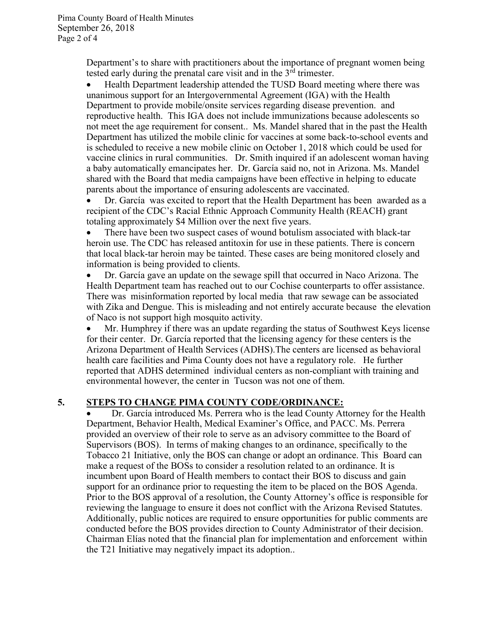Department's to share with practitioners about the importance of pregnant women being tested early during the prenatal care visit and in the  $3<sup>rd</sup>$  trimester.

 Health Department leadership attended the TUSD Board meeting where there was unanimous support for an Intergovernmental Agreement (IGA) with the Health Department to provide mobile/onsite services regarding disease prevention. and reproductive health. This IGA does not include immunizations because adolescents so not meet the age requirement for consent.. Ms. Mandel shared that in the past the Health Department has utilized the mobile clinic for vaccines at some back-to-school events and is scheduled to receive a new mobile clinic on October 1, 2018 which could be used for vaccine clinics in rural communities. Dr. Smith inquired if an adolescent woman having a baby automatically emancipates her. Dr. García said no, not in Arizona. Ms. Mandel shared with the Board that media campaigns have been effective in helping to educate parents about the importance of ensuring adolescents are vaccinated.

 Dr. García was excited to report that the Health Department has been awarded as a recipient of the CDC's Racial Ethnic Approach Community Health (REACH) grant totaling approximately \$4 Million over the next five years.

 There have been two suspect cases of wound botulism associated with black-tar heroin use. The CDC has released antitoxin for use in these patients. There is concern that local black-tar heroin may be tainted. These cases are being monitored closely and information is being provided to clients.

 Dr. García gave an update on the sewage spill that occurred in Naco Arizona. The Health Department team has reached out to our Cochise counterparts to offer assistance. There was misinformation reported by local media that raw sewage can be associated with Zika and Dengue. This is misleading and not entirely accurate because the elevation of Naco is not support high mosquito activity.

 Mr. Humphrey if there was an update regarding the status of Southwest Keys license for their center. Dr. García reported that the licensing agency for these centers is the Arizona Department of Health Services (ADHS).The centers are licensed as behavioral health care facilities and Pima County does not have a regulatory role. He further reported that ADHS determined individual centers as non-compliant with training and environmental however, the center in Tucson was not one of them.

## 5. STEPS TO CHANGE PIMA COUNTY CODE/ORDINANCE:

 Dr. García introduced Ms. Perrera who is the lead County Attorney for the Health Department, Behavior Health, Medical Examiner's Office, and PACC. Ms. Perrera provided an overview of their role to serve as an advisory committee to the Board of Supervisors (BOS). In terms of making changes to an ordinance, specifically to the Tobacco 21 Initiative, only the BOS can change or adopt an ordinance. This Board can make a request of the BOSs to consider a resolution related to an ordinance. It is incumbent upon Board of Health members to contact their BOS to discuss and gain support for an ordinance prior to requesting the item to be placed on the BOS Agenda. Prior to the BOS approval of a resolution, the County Attorney's office is responsible for reviewing the language to ensure it does not conflict with the Arizona Revised Statutes. Additionally, public notices are required to ensure opportunities for public comments are conducted before the BOS provides direction to County Administrator of their decision. Chairman Elías noted that the financial plan for implementation and enforcement within the T21 Initiative may negatively impact its adoption..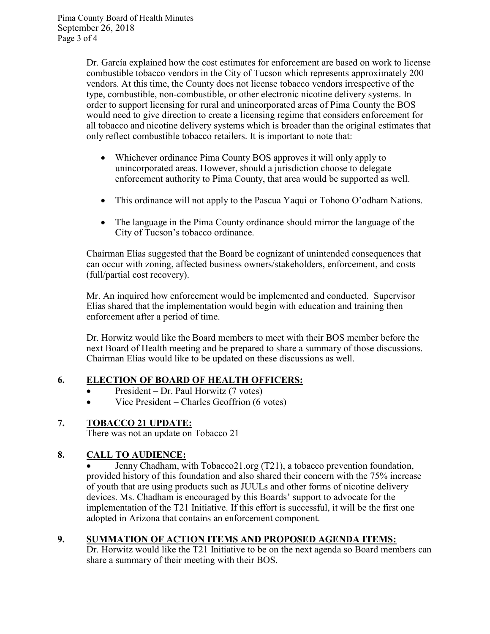Dr. García explained how the cost estimates for enforcement are based on work to license combustible tobacco vendors in the City of Tucson which represents approximately 200 vendors. At this time, the County does not license tobacco vendors irrespective of the type, combustible, non-combustible, or other electronic nicotine delivery systems. In order to support licensing for rural and unincorporated areas of Pima County the BOS would need to give direction to create a licensing regime that considers enforcement for all tobacco and nicotine delivery systems which is broader than the original estimates that only reflect combustible tobacco retailers. It is important to note that:

- Whichever ordinance Pima County BOS approves it will only apply to unincorporated areas. However, should a jurisdiction choose to delegate enforcement authority to Pima County, that area would be supported as well.
- This ordinance will not apply to the Pascua Yaqui or Tohono O'odham Nations.
- The language in the Pima County ordinance should mirror the language of the City of Tucson's tobacco ordinance.

Chairman Elías suggested that the Board be cognizant of unintended consequences that can occur with zoning, affected business owners/stakeholders, enforcement, and costs (full/partial cost recovery).

Mr. An inquired how enforcement would be implemented and conducted. Supervisor Elías shared that the implementation would begin with education and training then enforcement after a period of time.

Dr. Horwitz would like the Board members to meet with their BOS member before the next Board of Health meeting and be prepared to share a summary of those discussions. Chairman Elías would like to be updated on these discussions as well.

## 6. ELECTION OF BOARD OF HEALTH OFFICERS:

- $\bullet$  President Dr. Paul Horwitz (7 votes)
- Vice President Charles Geoffrion (6 votes)

## 7. TOBACCO 21 UPDATE:

There was not an update on Tobacco 21

# 8. CALL TO AUDIENCE:

 Jenny Chadham, with Tobacco21.org (T21), a tobacco prevention foundation, provided history of this foundation and also shared their concern with the 75% increase of youth that are using products such as JUULs and other forms of nicotine delivery devices. Ms. Chadham is encouraged by this Boards' support to advocate for the implementation of the T21 Initiative. If this effort is successful, it will be the first one adopted in Arizona that contains an enforcement component.

## 9. SUMMATION OF ACTION ITEMS AND PROPOSED AGENDA ITEMS:

Dr. Horwitz would like the T21 Initiative to be on the next agenda so Board members can share a summary of their meeting with their BOS.